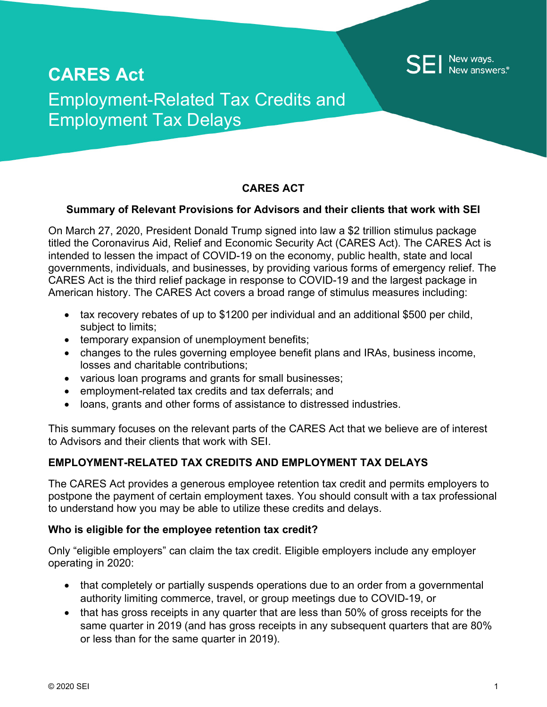

# **CARES Act** Employment-Related Tax Credits and Employment Tax Delays

## **CARES ACT**

#### **Summary of Relevant Provisions for Advisors and their clients that work with SEI**

On March 27, 2020, President Donald Trump signed into law a \$2 trillion stimulus package titled the Coronavirus Aid, Relief and Economic Security Act (CARES Act). The CARES Act is intended to lessen the impact of COVID-19 on the economy, public health, state and local governments, individuals, and businesses, by providing various forms of emergency relief. The CARES Act is the third relief package in response to COVID-19 and the largest package in American history. The CARES Act covers a broad range of stimulus measures including:

- tax recovery rebates of up to \$1200 per individual and an additional \$500 per child, subject to limits;
- temporary expansion of unemployment benefits;
- changes to the rules governing employee benefit plans and IRAs, business income, losses and charitable contributions;
- various loan programs and grants for small businesses;
- employment-related tax credits and tax deferrals; and
- loans, grants and other forms of assistance to distressed industries.

This summary focuses on the relevant parts of the CARES Act that we believe are of interest to Advisors and their clients that work with SEI.

### **EMPLOYMENT-RELATED TAX CREDITS AND EMPLOYMENT TAX DELAYS**

The CARES Act provides a generous employee retention tax credit and permits employers to postpone the payment of certain employment taxes. You should consult with a tax professional to understand how you may be able to utilize these credits and delays.

#### **Who is eligible for the employee retention tax credit?**

Only "eligible employers" can claim the tax credit. Eligible employers include any employer operating in 2020:

- that completely or partially suspends operations due to an order from a governmental authority limiting commerce, travel, or group meetings due to COVID-19, or
- that has gross receipts in any quarter that are less than 50% of gross receipts for the same quarter in 2019 (and has gross receipts in any subsequent quarters that are 80% or less than for the same quarter in 2019).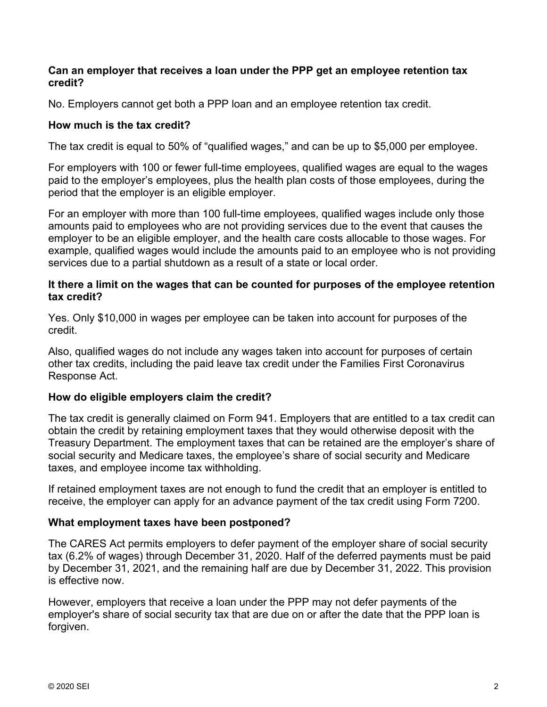#### **Can an employer that receives a loan under the PPP get an employee retention tax credit?**

No. Employers cannot get both a PPP loan and an employee retention tax credit.

## **How much is the tax credit?**

The tax credit is equal to 50% of "qualified wages," and can be up to \$5,000 per employee.

For employers with 100 or fewer full-time employees, qualified wages are equal to the wages paid to the employer's employees, plus the health plan costs of those employees, during the period that the employer is an eligible employer.

For an employer with more than 100 full-time employees, qualified wages include only those amounts paid to employees who are not providing services due to the event that causes the employer to be an eligible employer, and the health care costs allocable to those wages. For example, qualified wages would include the amounts paid to an employee who is not providing services due to a partial shutdown as a result of a state or local order.

### **It there a limit on the wages that can be counted for purposes of the employee retention tax credit?**

Yes. Only \$10,000 in wages per employee can be taken into account for purposes of the credit.

Also, qualified wages do not include any wages taken into account for purposes of certain other tax credits, including the paid leave tax credit under the Families First Coronavirus Response Act.

#### **How do eligible employers claim the credit?**

The tax credit is generally claimed on Form 941. Employers that are entitled to a tax credit can obtain the credit by retaining employment taxes that they would otherwise deposit with the Treasury Department. The employment taxes that can be retained are the employer's share of social security and Medicare taxes, the employee's share of social security and Medicare taxes, and employee income tax withholding.

If retained employment taxes are not enough to fund the credit that an employer is entitled to receive, the employer can apply for an advance payment of the tax credit using Form 7200.

## **What employment taxes have been postponed?**

The CARES Act permits employers to defer payment of the employer share of social security tax (6.2% of wages) through December 31, 2020. Half of the deferred payments must be paid by December 31, 2021, and the remaining half are due by December 31, 2022. This provision is effective now.

However, employers that receive a loan under the PPP may not defer payments of the employer's share of social security tax that are due on or after the date that the PPP loan is forgiven.